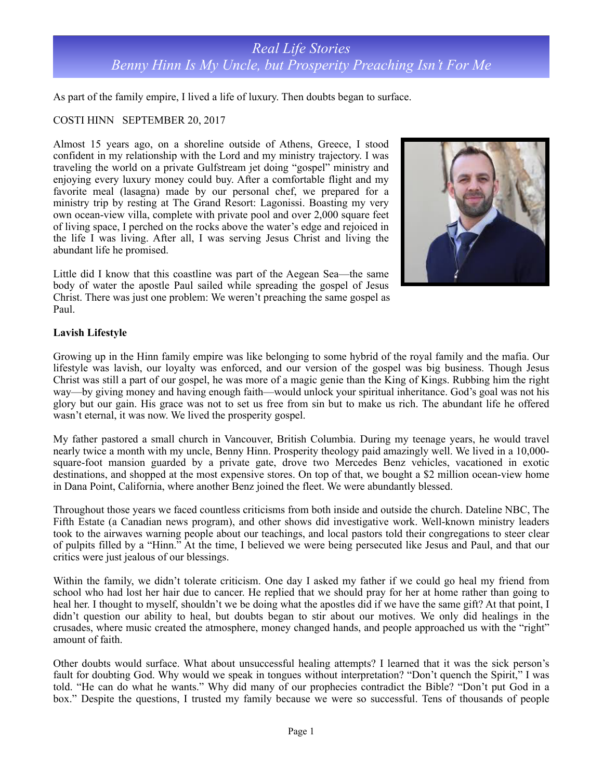# *Real Life Stories Benny Hinn Is My Uncle, but Prosperity Preaching Isn't For Me*

As part of the family empire, I lived a life of luxury. Then doubts began to surface.

### COSTI HINN SEPTEMBER 20, 2017

Almost 15 years ago, on a shoreline outside of Athens, Greece, I stood confident in my relationship with the Lord and my ministry trajectory. I was traveling the world on a private Gulfstream jet doing "gospel" ministry and enjoying every luxury money could buy. After a comfortable flight and my favorite meal (lasagna) made by our personal chef, we prepared for a ministry trip by resting at The Grand Resort: Lagonissi. Boasting my very own ocean-view villa, complete with private pool and over 2,000 square feet of living space, I perched on the rocks above the water's edge and rejoiced in the life I was living. After all, I was serving Jesus Christ and living the abundant life he promised.

Little did I know that this coastline was part of the Aegean Sea—the same body of water the apostle Paul sailed while spreading the gospel of Jesus Christ. There was just one problem: We weren't preaching the same gospel as Paul.



### **Lavish Lifestyle**

Growing up in the Hinn family empire was like belonging to some hybrid of the royal family and the mafia. Our lifestyle was lavish, our loyalty was enforced, and our version of the gospel was big business. Though Jesus Christ was still a part of our gospel, he was more of a magic genie than the King of Kings. Rubbing him the right way—by giving money and having enough faith—would unlock your spiritual inheritance. God's goal was not his glory but our gain. His grace was not to set us free from sin but to make us rich. The abundant life he offered wasn't eternal, it was now. We lived the prosperity gospel.

My father pastored a small church in Vancouver, British Columbia. During my teenage years, he would travel nearly twice a month with my uncle, Benny Hinn. Prosperity theology paid amazingly well. We lived in a 10,000 square-foot mansion guarded by a private gate, drove two Mercedes Benz vehicles, vacationed in exotic destinations, and shopped at the most expensive stores. On top of that, we bought a \$2 million ocean-view home in Dana Point, California, where another Benz joined the fleet. We were abundantly blessed.

Throughout those years we faced countless criticisms from both inside and outside the church. Dateline NBC, The Fifth Estate (a Canadian news program), and other shows did investigative work. Well-known ministry leaders took to the airwaves warning people about our teachings, and local pastors told their congregations to steer clear of pulpits filled by a "Hinn." At the time, I believed we were being persecuted like Jesus and Paul, and that our critics were just jealous of our blessings.

Within the family, we didn't tolerate criticism. One day I asked my father if we could go heal my friend from school who had lost her hair due to cancer. He replied that we should pray for her at home rather than going to heal her. I thought to myself, shouldn't we be doing what the apostles did if we have the same gift? At that point, I didn't question our ability to heal, but doubts began to stir about our motives. We only did healings in the crusades, where music created the atmosphere, money changed hands, and people approached us with the "right" amount of faith.

Other doubts would surface. What about unsuccessful healing attempts? I learned that it was the sick person's fault for doubting God. Why would we speak in tongues without interpretation? "Don't quench the Spirit," I was told. "He can do what he wants." Why did many of our prophecies contradict the Bible? "Don't put God in a box." Despite the questions, I trusted my family because we were so successful. Tens of thousands of people